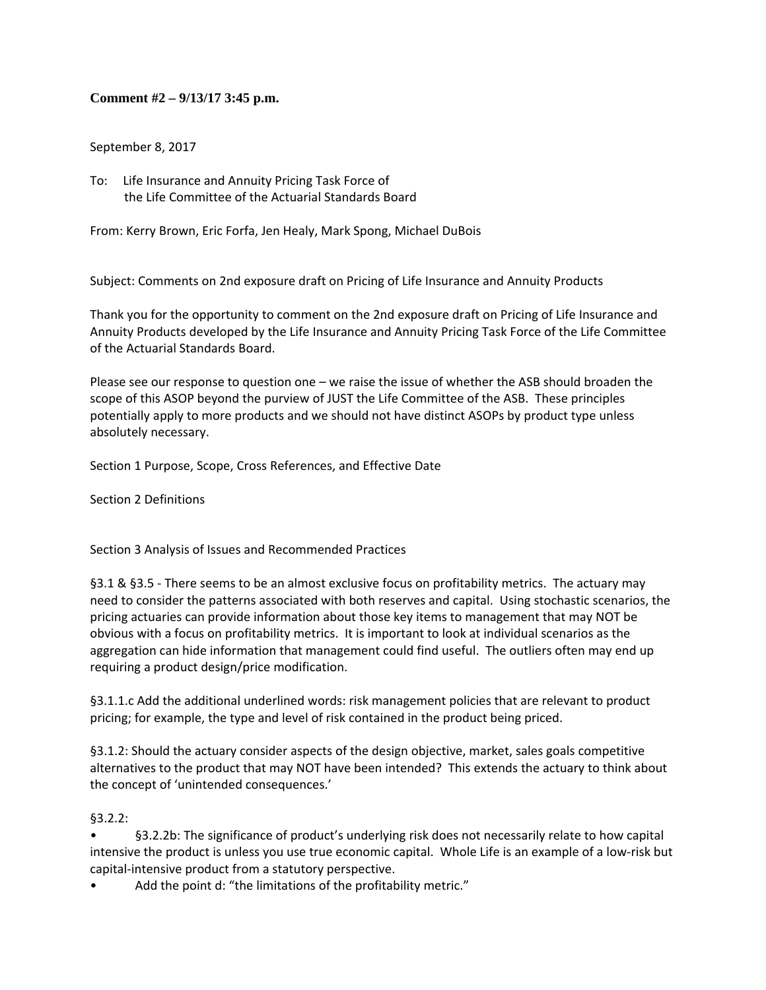## **Comment #2 – 9/13/17 3:45 p.m.**

September 8, 2017

To: Life Insurance and Annuity Pricing Task Force of the Life Committee of the Actuarial Standards Board

From: Kerry Brown, Eric Forfa, Jen Healy, Mark Spong, Michael DuBois

Subject: Comments on 2nd exposure draft on Pricing of Life Insurance and Annuity Products

Thank you for the opportunity to comment on the 2nd exposure draft on Pricing of Life Insurance and Annuity Products developed by the Life Insurance and Annuity Pricing Task Force of the Life Committee of the Actuarial Standards Board.

Please see our response to question one – we raise the issue of whether the ASB should broaden the scope of this ASOP beyond the purview of JUST the Life Committee of the ASB. These principles potentially apply to more products and we should not have distinct ASOPs by product type unless absolutely necessary.

Section 1 Purpose, Scope, Cross References, and Effective Date

Section 2 Definitions

Section 3 Analysis of Issues and Recommended Practices

§3.1 & §3.5 ‐ There seems to be an almost exclusive focus on profitability metrics. The actuary may need to consider the patterns associated with both reserves and capital. Using stochastic scenarios, the pricing actuaries can provide information about those key items to management that may NOT be obvious with a focus on profitability metrics. It is important to look at individual scenarios as the aggregation can hide information that management could find useful. The outliers often may end up requiring a product design/price modification.

§3.1.1.c Add the additional underlined words: risk management policies that are relevant to product pricing; for example, the type and level of risk contained in the product being priced.

§3.1.2: Should the actuary consider aspects of the design objective, market, sales goals competitive alternatives to the product that may NOT have been intended? This extends the actuary to think about the concept of 'unintended consequences.'

§3.2.2:

• §3.2.2b: The significance of product's underlying risk does not necessarily relate to how capital intensive the product is unless you use true economic capital. Whole Life is an example of a low‐risk but capital‐intensive product from a statutory perspective.

Add the point d: "the limitations of the profitability metric."